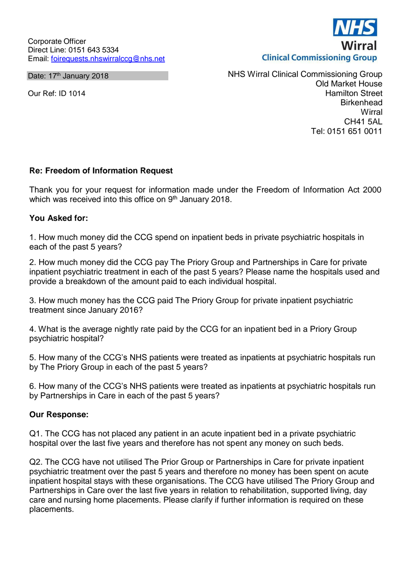Date: 17<sup>th</sup> January 2018

Our Ref: ID 1014

**Clinical Commissioning Group** 

NHS Wirral Clinical Commissioning Group Old Market House Hamilton Street **Birkenhead Wirral** CH41 5AL Tel: 0151 651 0011

## **Re: Freedom of Information Request**

Thank you for your request for information made under the Freedom of Information Act 2000 which was received into this office on 9<sup>th</sup> January 2018.

## **You Asked for:**

1. How much money did the CCG spend on inpatient beds in private psychiatric hospitals in each of the past 5 years?

2. How much money did the CCG pay The Priory Group and Partnerships in Care for private inpatient psychiatric treatment in each of the past 5 years? Please name the hospitals used and provide a breakdown of the amount paid to each individual hospital.

3. How much money has the CCG paid The Priory Group for private inpatient psychiatric treatment since January 2016?

4. What is the average nightly rate paid by the CCG for an inpatient bed in a Priory Group psychiatric hospital?

5. How many of the CCG's NHS patients were treated as inpatients at psychiatric hospitals run by The Priory Group in each of the past 5 years?

6. How many of the CCG's NHS patients were treated as inpatients at psychiatric hospitals run by Partnerships in Care in each of the past 5 years?

## **Our Response:**

Q1. The CCG has not placed any patient in an acute inpatient bed in a private psychiatric hospital over the last five years and therefore has not spent any money on such beds.

Q2. The CCG have not utilised The Prior Group or Partnerships in Care for private inpatient psychiatric treatment over the past 5 years and therefore no money has been spent on acute inpatient hospital stays with these organisations. The CCG have utilised The Priory Group and Partnerships in Care over the last five years in relation to rehabilitation, supported living, day care and nursing home placements. Please clarify if further information is required on these placements.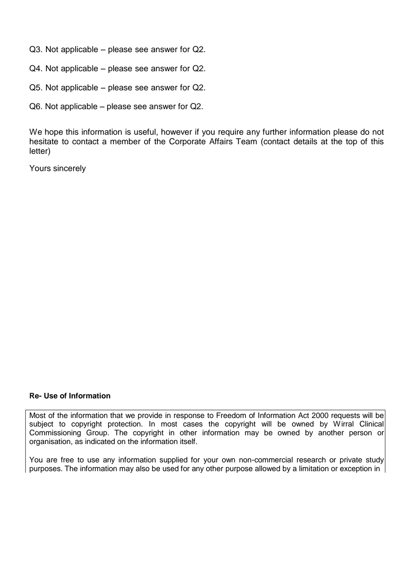Q3. Not applicable – please see answer for Q2.

Q4. Not applicable – please see answer for Q2.

Q5. Not applicable – please see answer for Q2.

Q6. Not applicable – please see answer for Q2.

We hope this information is useful, however if you require any further information please do not hesitate to contact a member of the Corporate Affairs Team (contact details at the top of this letter)

Yours sincerely

## **Re- Use of Information**

Most of the information that we provide in response to Freedom of Information Act 2000 requests will be subject to copyright protection. In most cases the copyright will be owned by Wirral Clinical Commissioning Group. The copyright in other information may be owned by another person or organisation, as indicated on the information itself.

You are free to use any information supplied for your own non-commercial research or private study purposes. The information may also be used for any other purpose allowed by a limitation or exception in